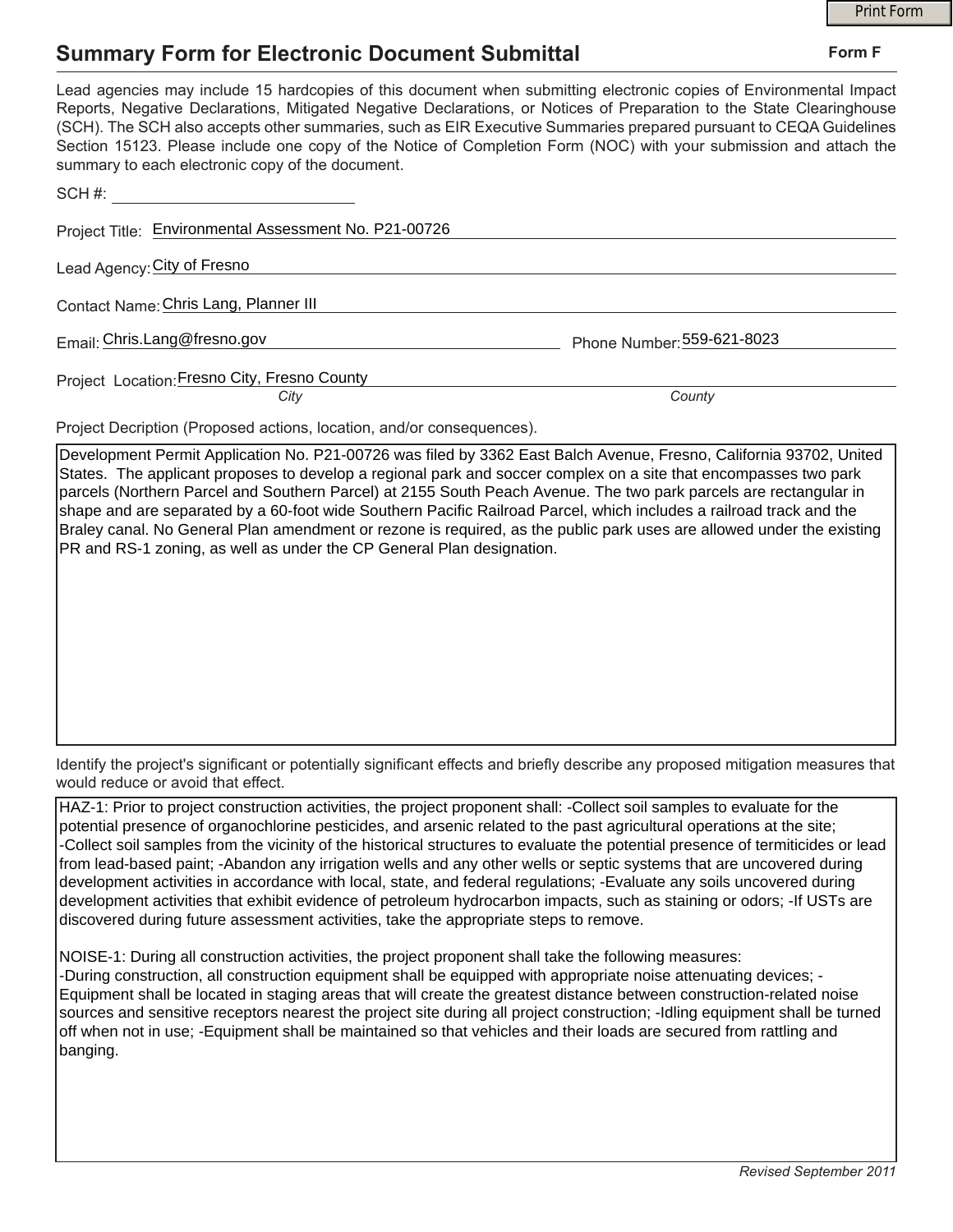## **Summary Form for Electronic Document Submittal**

|                                                                                                                                                                                                                                                                                                                                                                                                                                                                                                                                           | <b>Print Form</b>          |
|-------------------------------------------------------------------------------------------------------------------------------------------------------------------------------------------------------------------------------------------------------------------------------------------------------------------------------------------------------------------------------------------------------------------------------------------------------------------------------------------------------------------------------------------|----------------------------|
| <b>Summary Form for Electronic Document Submittal</b>                                                                                                                                                                                                                                                                                                                                                                                                                                                                                     | Form F                     |
| Lead agencies may include 15 hardcopies of this document when submitting electronic copies of Environmental Impact<br>Reports, Negative Declarations, Mitigated Negative Declarations, or Notices of Preparation to the State Clearinghouse<br>(SCH). The SCH also accepts other summaries, such as EIR Executive Summaries prepared pursuant to CEQA Guidelines<br>Section 15123. Please include one copy of the Notice of Completion Form (NOC) with your submission and attach the<br>summary to each electronic copy of the document. |                            |
| SCH#:                                                                                                                                                                                                                                                                                                                                                                                                                                                                                                                                     |                            |
| Project Title: Environmental Assessment No. P21-00726                                                                                                                                                                                                                                                                                                                                                                                                                                                                                     |                            |
| Lead Agency: City of Fresno                                                                                                                                                                                                                                                                                                                                                                                                                                                                                                               |                            |
| Contact Name: Chris Lang, Planner III                                                                                                                                                                                                                                                                                                                                                                                                                                                                                                     |                            |
| Email: Chris.Lang@fresno.gov                                                                                                                                                                                                                                                                                                                                                                                                                                                                                                              | Phone Number: 559-621-8023 |
| Project Location: Fresno City, Fresno County<br>City                                                                                                                                                                                                                                                                                                                                                                                                                                                                                      | County                     |
| Project Decription (Proposed actions, location, and/or consequences).                                                                                                                                                                                                                                                                                                                                                                                                                                                                     |                            |

Development Permit Application No. P21-00726 was filed by 3362 East Balch Avenue, Fresno, California 93702, United States. The applicant proposes to develop a regional park and soccer complex on a site that encompasses two park parcels (Northern Parcel and Southern Parcel) at 2155 South Peach Avenue. The two park parcels are rectangular in shape and are separated by a 60-foot wide Southern Pacific Railroad Parcel, which includes a railroad track and the Braley canal. No General Plan amendment or rezone is required, as the public park uses are allowed under the existing PR and RS-1 zoning, as well as under the CP General Plan designation.

Identify the project's significant or potentially significant effects and briefly describe any proposed mitigation measures that would reduce or avoid that effect.

HAZ-1: Prior to project construction activities, the project proponent shall: -Collect soil samples to evaluate for the potential presence of organochlorine pesticides, and arsenic related to the past agricultural operations at the site; -Collect soil samples from the vicinity of the historical structures to evaluate the potential presence of termiticides or lead from lead-based paint; -Abandon any irrigation wells and any other wells or septic systems that are uncovered during development activities in accordance with local, state, and federal regulations; -Evaluate any soils uncovered during development activities that exhibit evidence of petroleum hydrocarbon impacts, such as staining or odors; -If USTs are discovered during future assessment activities, take the appropriate steps to remove.

NOISE-1: During all construction activities, the project proponent shall take the following measures: -During construction, all construction equipment shall be equipped with appropriate noise attenuating devices; - Equipment shall be located in staging areas that will create the greatest distance between construction-related noise sources and sensitive receptors nearest the project site during all project construction; -Idling equipment shall be turned off when not in use; -Equipment shall be maintained so that vehicles and their loads are secured from rattling and banging.